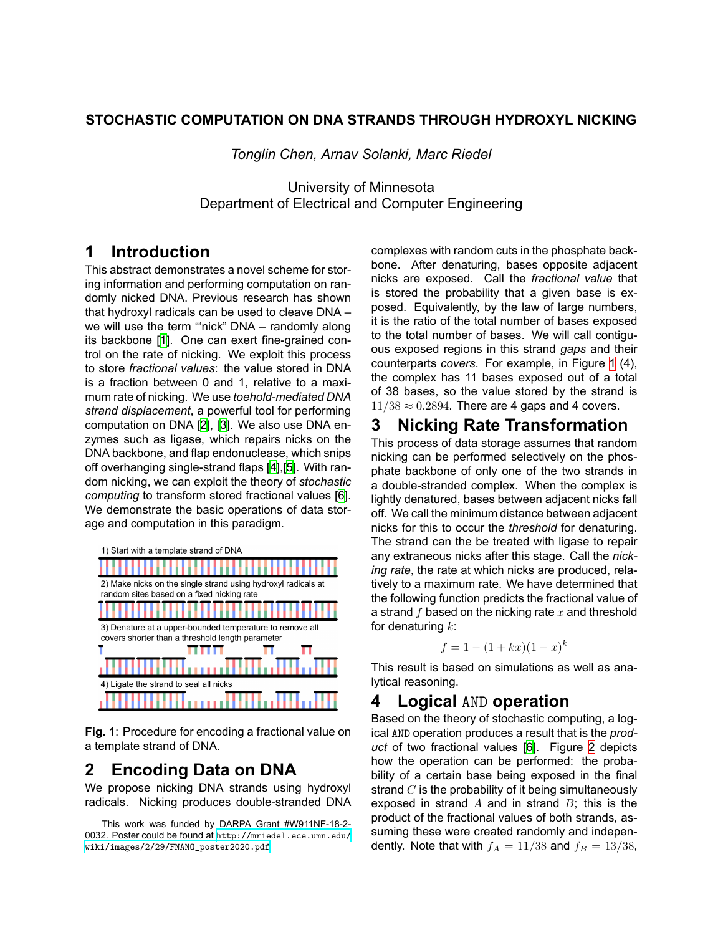#### **STOCHASTIC COMPUTATION ON DNA STRANDS THROUGH HYDROXYL NICKING**

*Tonglin Chen, Arnav Solanki, Marc Riedel*

University of Minnesota Department of Electrical and Computer Engineering

### **1 Introduction**

This abstract demonstrates a novel scheme for storing information and performing computation on randomly nicked DNA. Previous research has shown that hydroxyl radicals can be used to cleave DNA – we will use the term "'nick" DNA – randomly along its backbone[[1](#page-1-0)]. One can exert fine-grained control on the rate of nicking. We exploit this process to store *fractional values*: the value stored in DNA is a fraction between 0 and 1, relative to a maximum rate of nicking. We use *toehold-mediated DNA strand displacement*, a powerful tool for performing computation on DNA[[2](#page-1-1)], [\[3\]](#page-1-2). We also use DNA enzymes such as ligase, which repairs nicks on the DNA backbone, and flap endonuclease, which snips off overhanging single-strand flaps[[4](#page-1-3)],[[5](#page-1-4)]. With random nicking, we can exploit the theory of *stochastic computing* to transform stored fractional values [\[6\]](#page-1-5). We demonstrate the basic operations of data storage and computation in this paradigm.

<span id="page-0-0"></span>

**Fig. 1**: Procedure for encoding a fractional value on a template strand of DNA.

### **2 Encoding Data on DNA**

We propose nicking DNA strands using hydroxyl radicals. Nicking produces double-stranded DNA complexes with random cuts in the phosphate backbone. After denaturing, bases opposite adjacent nicks are exposed. Call the *fractional value* that is stored the probability that a given base is exposed. Equivalently, by the law of large numbers, it is the ratio of the total number of bases exposed to the total number of bases. We will call contiguous exposed regions in this strand *gaps* and their counterparts *covers*. For example, in Figure [1](#page-0-0) (4), the complex has 11 bases exposed out of a total of 38 bases, so the value stored by the strand is 11/38 *≈* 0*.*2894. There are 4 gaps and 4 covers.

# **3 Nicking Rate Transformation**

This process of data storage assumes that random nicking can be performed selectively on the phosphate backbone of only one of the two strands in a double-stranded complex. When the complex is lightly denatured, bases between adjacent nicks fall off. We call the minimum distance between adjacent nicks for this to occur the *threshold* for denaturing. The strand can the be treated with ligase to repair any extraneous nicks after this stage. Call the *nicking rate*, the rate at which nicks are produced, relatively to a maximum rate. We have determined that the following function predicts the fractional value of a strand *f* based on the nicking rate *x* and threshold for denaturing *k*:

$$
f = 1 - (1 + kx)(1 - x)^k
$$

This result is based on simulations as well as analytical reasoning.

# **4 Logical** AND **operation**

Based on the theory of stochastic computing, a logical AND operation produces a result that is the *product* of two fractional values[[6](#page-1-5)]. Figure [2](#page-1-6) depicts how the operation can be performed: the probability of a certain base being exposed in the final strand *C* is the probability of it being simultaneously exposed in strand *A* and in strand *B*; this is the product of the fractional values of both strands, assuming these were created randomly and independently. Note that with  $f_A = 11/38$  and  $f_B = 13/38$ ,

This work was funded by DARPA Grant #W911NF-18-2- 0032. Poster could be found at [http://mriedel.ece.umn.edu/](http://mriedel.ece.umn.edu/wiki/images/2/29/FNANO_poster2020.pdf) [wiki/images/2/29/FNANO\\_poster2020.pdf](http://mriedel.ece.umn.edu/wiki/images/2/29/FNANO_poster2020.pdf)